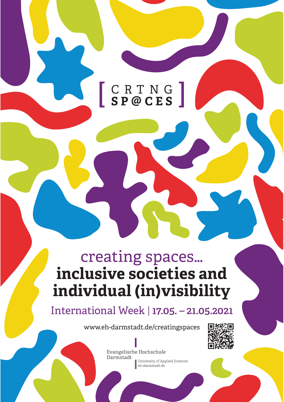## $[ \begin{array}{llll} C & R & T & N & G \\ S & P & @C & E & S \end{array} ]$ **S P @ CES**

# creating spaces… **inclusive societies and individual (in)visibility**

International Week | **17.05. – 21.05.2021**

www.eh-darmstadt.de/creatingspaces



**Evangelische Hochschule** Darmstadt University of Applied Sciences eh-darmstadt.de